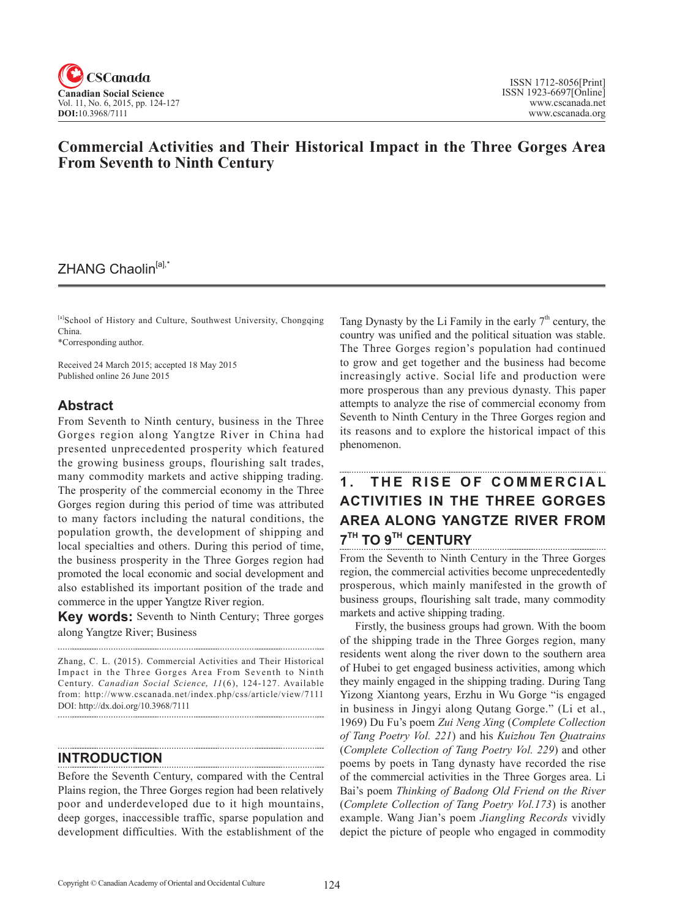

# **Commercial Activities and Their Historical Impact in the Three Gorges Area From Seventh to Ninth Century**

# ZHANG Chaolin<sup>[a],\*</sup>

[a]School of History and Culture, Southwest University, Chongqing China.

\*Corresponding author.

Received 24 March 2015; accepted 18 May 2015 Published online 26 June 2015

#### **Abstract**

From Seventh to Ninth century, business in the Three Gorges region along Yangtze River in China had presented unprecedented prosperity which featured the growing business groups, flourishing salt trades, many commodity markets and active shipping trading. The prosperity of the commercial economy in the Three Gorges region during this period of time was attributed to many factors including the natural conditions, the population growth, the development of shipping and local specialties and others. During this period of time, the business prosperity in the Three Gorges region had promoted the local economic and social development and also established its important position of the trade and commerce in the upper Yangtze River region.

**Key words:** Seventh to Ninth Century; Three gorges along Yangtze River; Business

Zhang, C. L. (2015). Commercial Activities and Their Historical Impact in the Three Gorges Area From Seventh to Ninth Century. *Canadian Social Science*, 11(6), 124-127. Available from: http://www.cscanada.net/index.php/css/article/view/7111 DOI: http://dx.doi.org/10.3968/7111 

#### **INTRODUCTION**

Before the Seventh Century, compared with the Central Plains region, the Three Gorges region had been relatively poor and underdeveloped due to it high mountains, deep gorges, inaccessible traffic, sparse population and development difficulties. With the establishment of the

Tang Dynasty by the Li Family in the early  $7<sup>th</sup>$  century, the country was unified and the political situation was stable. The Three Gorges region's population had continued to grow and get together and the business had become increasingly active. Social life and production were more prosperous than any previous dynasty. This paper attempts to analyze the rise of commercial economy from Seventh to Ninth Century in the Three Gorges region and its reasons and to explore the historical impact of this phenomenon.

## **1. THE RISE OF COMMERCIAL ACTIVITIES IN THE THREE GORGES AREA ALONG YANGTZE RIVER FROM 7TH TO 9TH CENTURY**

From the Seventh to Ninth Century in the Three Gorges region, the commercial activities become unprecedentedly prosperous, which mainly manifested in the growth of business groups, flourishing salt trade, many commodity markets and active shipping trading.

Firstly, the business groups had grown. With the boom of the shipping trade in the Three Gorges region, many residents went along the river down to the southern area of Hubei to get engaged business activities, among which they mainly engaged in the shipping trading. During Tang Yizong Xiantong years, Erzhu in Wu Gorge "is engaged in business in Jingyi along Qutang Gorge." (Li et al., 1969) Du Fu's poem *Zui Neng Xing* (*Complete Collection of Tang Poetry Vol. 221*) and his *Kuizhou Ten Quatrains* (*Complete Collection of Tang Poetry Vol. 229*) and other poems by poets in Tang dynasty have recorded the rise of the commercial activities in the Three Gorges area. Li Bai's poem *Thinking of Badong Old Friend on the River* (*Complete Collection of Tang Poetry Vol.173*) is another example. Wang Jian's poem *Jiangling Records* vividly depict the picture of people who engaged in commodity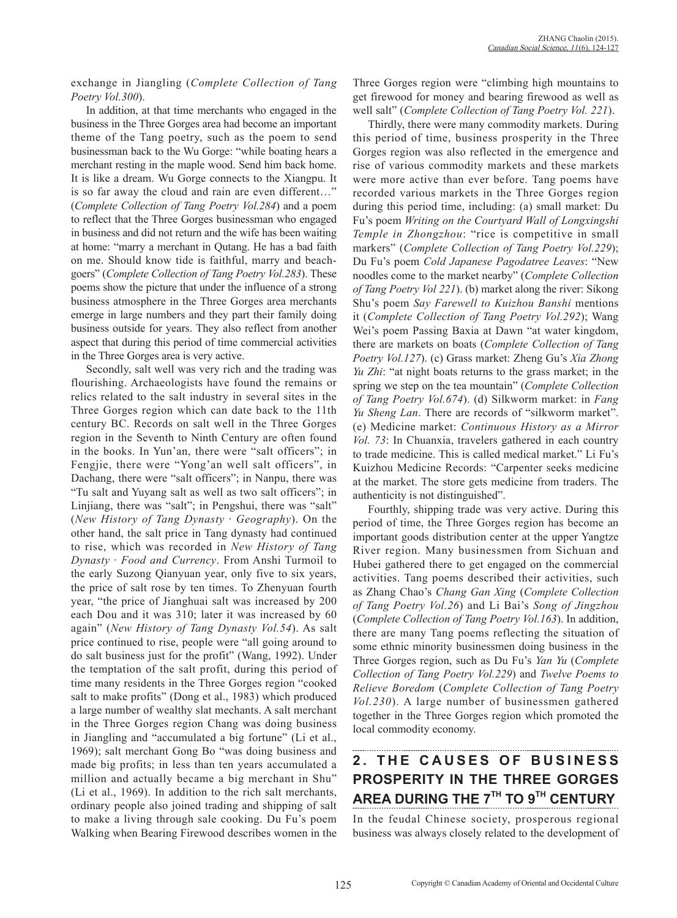exchange in Jiangling (*Complete Collection of Tang Poetry Vol.300*).

In addition, at that time merchants who engaged in the business in the Three Gorges area had become an important theme of the Tang poetry, such as the poem to send businessman back to the Wu Gorge: "while boating hears a merchant resting in the maple wood. Send him back home. It is like a dream. Wu Gorge connects to the Xiangpu. It is so far away the cloud and rain are even different…" (*Complete Collection of Tang Poetry Vol.284*) and a poem to reflect that the Three Gorges businessman who engaged in business and did not return and the wife has been waiting at home: "marry a merchant in Qutang. He has a bad faith on me. Should know tide is faithful, marry and beachgoers" (*Complete Collection of Tang Poetry Vol.283*). These poems show the picture that under the influence of a strong business atmosphere in the Three Gorges area merchants emerge in large numbers and they part their family doing business outside for years. They also reflect from another aspect that during this period of time commercial activities in the Three Gorges area is very active.

Secondly, salt well was very rich and the trading was flourishing. Archaeologists have found the remains or relics related to the salt industry in several sites in the Three Gorges region which can date back to the 11th century BC. Records on salt well in the Three Gorges region in the Seventh to Ninth Century are often found in the books. In Yun'an, there were "salt officers"; in Fengjie, there were "Yong'an well salt officers", in Dachang, there were "salt officers"; in Nanpu, there was "Tu salt and Yuyang salt as well as two salt officers"; in Linjiang, there was "salt"; in Pengshui, there was "salt" (*New History of Tang Dynasty* · *Geography*). On the other hand, the salt price in Tang dynasty had continued to rise, which was recorded in *New History of Tang Dynasty* · *Food and Currency*. From Anshi Turmoil to the early Suzong Qianyuan year, only five to six years, the price of salt rose by ten times. To Zhenyuan fourth year, "the price of Jianghuai salt was increased by 200 each Dou and it was 310; later it was increased by 60 again" (*New History of Tang Dynasty Vol.54*). As salt price continued to rise, people were "all going around to do salt business just for the profit" (Wang, 1992). Under the temptation of the salt profit, during this period of time many residents in the Three Gorges region "cooked salt to make profits" (Dong et al., 1983) which produced a large number of wealthy slat mechants. A salt merchant in the Three Gorges region Chang was doing business in Jiangling and "accumulated a big fortune" (Li et al., 1969); salt merchant Gong Bo "was doing business and made big profits; in less than ten years accumulated a million and actually became a big merchant in Shu" (Li et al., 1969). In addition to the rich salt merchants, ordinary people also joined trading and shipping of salt to make a living through sale cooking. Du Fu's poem Walking when Bearing Firewood describes women in the Three Gorges region were "climbing high mountains to get firewood for money and bearing firewood as well as well salt" (*Complete Collection of Tang Poetry Vol. 221*).

Thirdly, there were many commodity markets. During this period of time, business prosperity in the Three Gorges region was also reflected in the emergence and rise of various commodity markets and these markets were more active than ever before. Tang poems have recorded various markets in the Three Gorges region during this period time, including: (a) small market: Du Fu's poem *Writing on the Courtyard Wall of Longxingshi Temple in Zhongzhou*: "rice is competitive in small markers" (*Complete Collection of Tang Poetry Vol.229*); Du Fu's poem *Cold Japanese Pagodatree Leaves*: "New noodles come to the market nearby" (*Complete Collection of Tang Poetry Vol 221*). (b) market along the river: Sikong Shu's poem *Say Farewell to Kuizhou Banshi* mentions it (*Complete Collection of Tang Poetry Vol.292*); Wang Wei's poem Passing Baxia at Dawn "at water kingdom, there are markets on boats (*Complete Collection of Tang Poetry Vol.127*). (c) Grass market: Zheng Gu's *Xia Zhong Yu Zhi*: "at night boats returns to the grass market; in the spring we step on the tea mountain" (*Complete Collection of Tang Poetry Vol.674*). (d) Silkworm market: in *Fang Yu Sheng Lan*. There are records of "silkworm market". (e) Medicine market: *Continuous History as a Mirror Vol. 73*: In Chuanxia, travelers gathered in each country to trade medicine. This is called medical market." Li Fu's Kuizhou Medicine Records: "Carpenter seeks medicine at the market. The store gets medicine from traders. The authenticity is not distinguished".

Fourthly, shipping trade was very active. During this period of time, the Three Gorges region has become an important goods distribution center at the upper Yangtze River region. Many businessmen from Sichuan and Hubei gathered there to get engaged on the commercial activities. Tang poems described their activities, such as Zhang Chao's *Chang Gan Xing* (*Complete Collection of Tang Poetry Vol.26*) and Li Bai's *Song of Jingzhou* (*Complete Collection of Tang Poetry Vol.163*). In addition, there are many Tang poems reflecting the situation of some ethnic minority businessmen doing business in the Three Gorges region, such as Du Fu's *Yan Yu* (*Complete Collection of Tang Poetry Vol.229*) and *Twelve Poems to Relieve Boredom* (*Complete Collection of Tang Poetry Vol.230*). A large number of businessmen gathered together in the Three Gorges region which promoted the local commodity economy.

# **2. THE CAUSES OF BUSINESS PROSPERITY IN THE THREE GORGES AREA DURING THE 7TH TO 9TH CENTURY**

In the feudal Chinese society, prosperous regional business was always closely related to the development of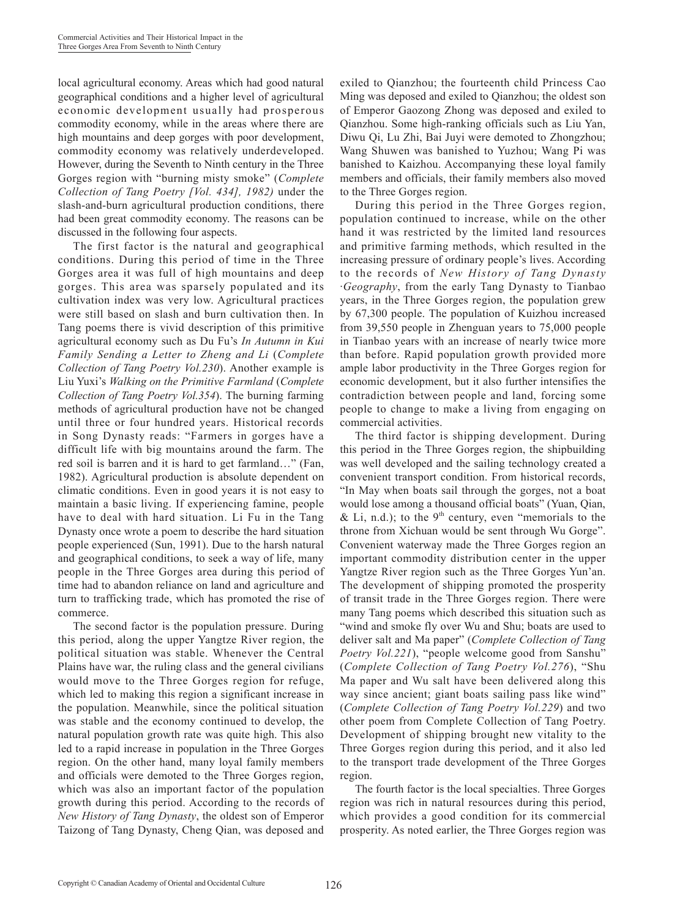local agricultural economy. Areas which had good natural geographical conditions and a higher level of agricultural economic development usually had prosperous commodity economy, while in the areas where there are high mountains and deep gorges with poor development, commodity economy was relatively underdeveloped. However, during the Seventh to Ninth century in the Three Gorges region with "burning misty smoke" (*Complete Collection of Tang Poetry [Vol. 434], 1982)* under the slash-and-burn agricultural production conditions, there had been great commodity economy. The reasons can be discussed in the following four aspects.

The first factor is the natural and geographical conditions. During this period of time in the Three Gorges area it was full of high mountains and deep gorges. This area was sparsely populated and its cultivation index was very low. Agricultural practices were still based on slash and burn cultivation then. In Tang poems there is vivid description of this primitive agricultural economy such as Du Fu's *In Autumn in Kui Family Sending a Letter to Zheng and Li* (*Complete Collection of Tang Poetry Vol.230*). Another example is Liu Yuxi's *Walking on the Primitive Farmland* (*Complete Collection of Tang Poetry Vol.354*). The burning farming methods of agricultural production have not be changed until three or four hundred years. Historical records in Song Dynasty reads: "Farmers in gorges have a difficult life with big mountains around the farm. The red soil is barren and it is hard to get farmland…" (Fan, 1982). Agricultural production is absolute dependent on climatic conditions. Even in good years it is not easy to maintain a basic living. If experiencing famine, people have to deal with hard situation. Li Fu in the Tang Dynasty once wrote a poem to describe the hard situation people experienced (Sun, 1991). Due to the harsh natural and geographical conditions, to seek a way of life, many people in the Three Gorges area during this period of time had to abandon reliance on land and agriculture and turn to trafficking trade, which has promoted the rise of commerce.

The second factor is the population pressure. During this period, along the upper Yangtze River region, the political situation was stable. Whenever the Central Plains have war, the ruling class and the general civilians would move to the Three Gorges region for refuge, which led to making this region a significant increase in the population. Meanwhile, since the political situation was stable and the economy continued to develop, the natural population growth rate was quite high. This also led to a rapid increase in population in the Three Gorges region. On the other hand, many loyal family members and officials were demoted to the Three Gorges region, which was also an important factor of the population growth during this period. According to the records of *New History of Tang Dynasty*, the oldest son of Emperor Taizong of Tang Dynasty, Cheng Qian, was deposed and

exiled to Qianzhou; the fourteenth child Princess Cao Ming was deposed and exiled to Qianzhou; the oldest son of Emperor Gaozong Zhong was deposed and exiled to Qianzhou. Some high-ranking officials such as Liu Yan, Diwu Qi, Lu Zhi, Bai Juyi were demoted to Zhongzhou; Wang Shuwen was banished to Yuzhou; Wang Pi was banished to Kaizhou. Accompanying these loyal family members and officials, their family members also moved to the Three Gorges region.

During this period in the Three Gorges region, population continued to increase, while on the other hand it was restricted by the limited land resources and primitive farming methods, which resulted in the increasing pressure of ordinary people's lives. According to the records of *New History of Tang Dynasty*  ·*Geography*, from the early Tang Dynasty to Tianbao years, in the Three Gorges region, the population grew by 67,300 people. The population of Kuizhou increased from 39,550 people in Zhenguan years to 75,000 people in Tianbao years with an increase of nearly twice more than before. Rapid population growth provided more ample labor productivity in the Three Gorges region for economic development, but it also further intensifies the contradiction between people and land, forcing some people to change to make a living from engaging on commercial activities.

The third factor is shipping development. During this period in the Three Gorges region, the shipbuilding was well developed and the sailing technology created a convenient transport condition. From historical records, "In May when boats sail through the gorges, not a boat would lose among a thousand official boats" (Yuan, Qian, & Li, n.d.); to the  $9<sup>th</sup>$  century, even "memorials to the throne from Xichuan would be sent through Wu Gorge". Convenient waterway made the Three Gorges region an important commodity distribution center in the upper Yangtze River region such as the Three Gorges Yun'an. The development of shipping promoted the prosperity of transit trade in the Three Gorges region. There were many Tang poems which described this situation such as "wind and smoke fly over Wu and Shu; boats are used to deliver salt and Ma paper" (*Complete Collection of Tang Poetry Vol.221*), "people welcome good from Sanshu" (*Complete Collection of Tang Poetry Vol.276*), "Shu Ma paper and Wu salt have been delivered along this way since ancient; giant boats sailing pass like wind" (*Complete Collection of Tang Poetry Vol.229*) and two other poem from Complete Collection of Tang Poetry. Development of shipping brought new vitality to the Three Gorges region during this period, and it also led to the transport trade development of the Three Gorges region.

The fourth factor is the local specialties. Three Gorges region was rich in natural resources during this period, which provides a good condition for its commercial prosperity. As noted earlier, the Three Gorges region was